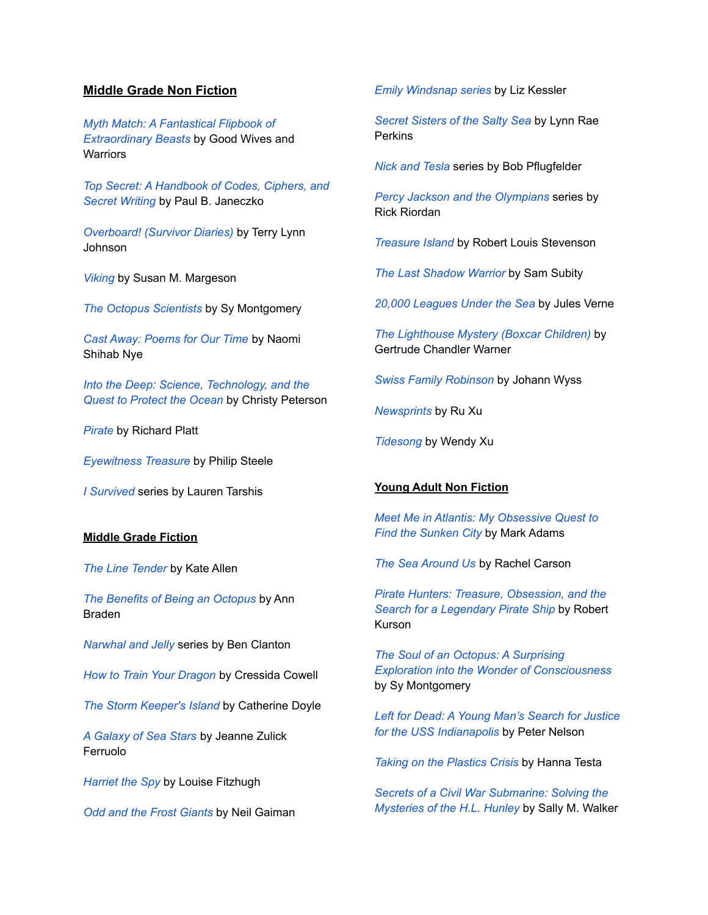# **Middle Grade Non Fiction**

*Myth Match: A [Fantastical](https://lci-mt.iii.com/iii/encore/record/C__Rb2400569__SMyth%20Match%3A%20A%20Fantastical%20Flipbook%20of%20Extraordinary%20Beasts__Lf%3Afacetcollections%3A31%3A31%3AWethersfield%3A%3A__Orightresult__X1?lang=eng&suite=cobalt) Flipbook of [Extraordinary](https://lci-mt.iii.com/iii/encore/record/C__Rb2400569__SMyth%20Match%3A%20A%20Fantastical%20Flipbook%20of%20Extraordinary%20Beasts__Lf%3Afacetcollections%3A31%3A31%3AWethersfield%3A%3A__Orightresult__X1?lang=eng&suite=cobalt) Beasts* by Good Wives and **Warriors** 

*Top Secret: A [Handbook](https://lci-mt.iii.com/iii/encore/record/C__Rb1606170__STop%20Secret%3A%20A%20Handbook%20of%20Codes%2C%20Ciphers%2C%20and%20Secret%20Writing__Lf%3Afacetcollections%3A31%3A31%3AWethersfield%3A%3A__Orightresult__X4?lang=eng&suite=cobalt) of Codes, Ciphers, and Secret [Writing](https://lci-mt.iii.com/iii/encore/record/C__Rb1606170__STop%20Secret%3A%20A%20Handbook%20of%20Codes%2C%20Ciphers%2C%20and%20Secret%20Writing__Lf%3Afacetcollections%3A31%3A31%3AWethersfield%3A%3A__Orightresult__X4?lang=eng&suite=cobalt)* by Paul B. Janeczko

*[Overboard!](https://lci-mt.iii.com/iii/encore/record/C__Rb2340386__SOverboard%21%20%28Survivor%20Diaries%29__Lf%3Afacetcollections%3A31%3A31%3AWethersfield%3A%3A__Ff%3Afacetcollections%3A31%3A31%3AWethersfield%3A%3A__Orightresult__U__X3?lang=eng&suite=cobalt) (Survivor Diaries)* by Terry Lynn Johnson

*[Viking](https://lci-mt.iii.com/iii/encore/record/C__Rb1771733__Sviking%20eyewitness%20books__Lf%3Afacetcollections%3A31%3A31%3AWethersfield%3A%3A__Orightresult__X1?lang=eng&suite=cobalt)* by Susan M. Margeson

*The Octopus [Scientists](https://lci-mt.iii.com/iii/encore/record/C__Rb2069560__SThe%20Octopus%20Scientists__Lf%3Afacetcollections%3A31%3A31%3AWethersfield%3A%3A__Orightresult__X7?lang=eng&suite=cobalt)* by Sy Montgomery

*Cast Away: [Poems](https://lci-mt.iii.com/iii/encore/record/C__Rb2580588__SCast%20Away%3A%20Poems%20for%20Our%20Time__Lf%3Afacetcollections%3A31%3A31%3AWethersfield%3A%3A__Ff%3Afacetcollections%3A31%3A31%3AWethersfield%3A%3A__Orightresult__U__X4?lang=eng&suite=cobalt) for Our Time* by Naomi Shihab Nye

*Into the Deep: Science, [Technology,](https://lci-mt.iii.com/iii/encore/record/C__Rb2613498__SInto%20the%20Deep%3A%20Science%2C%20Technology%2C%20and%20the%20Quest%20to%20Protect%20the%20Ocean__Lf%3Afacetcollections%3A31%3A31%3AWethersfield%3A%3A__Ff%3Afacetcollections%3A31%3A31%3AWethersfield%3A%3A__Orightresult__U__X4?lang=eng&suite=cobalt) and the Quest to [Protect](https://lci-mt.iii.com/iii/encore/record/C__Rb2613498__SInto%20the%20Deep%3A%20Science%2C%20Technology%2C%20and%20the%20Quest%20to%20Protect%20the%20Ocean__Lf%3Afacetcollections%3A31%3A31%3AWethersfield%3A%3A__Ff%3Afacetcollections%3A31%3A31%3AWethersfield%3A%3A__Orightresult__U__X4?lang=eng&suite=cobalt) the Ocean* by Christy Peterson

*[Pirate](https://lci-mt.iii.com/iii/encore/record/C__Rb1661310__Seyewitness%20pirate__Lf%3Afacetcollections%3A31%3A31%3AWethersfield%3A%3A__Ff%3Afacetcollections%3A31%3A31%3AWethersfield%3A%3A__Orightresult__U__X3?lang=eng&suite=cobalt)* by Richard Platt

*[Eyewitness](https://lci-mt.iii.com/iii/encore/record/C__Rb1779533__Seyewitness%20books%20treasure__Lf%3Afacetcollections%3A31%3A31%3AWethersfield%3A%3A__Ff%3Afacetcollections%3A31%3A31%3AWethersfield%3A%3A__P0%2C2__Orightresult__U__X1?lang=eng&suite=cobalt) Treasure* by Philip Steele

*I [Survived](https://lci-mt.iii.com/iii/encore/search/C__Si%20survived__Lf%3Afacetcollections%3A31%3A31%3AWethersfield%3A%3A__Orightresult__U?lang=eng&suite=cobalt)* series by Lauren Tarshis

## **Middle Grade Fiction**

*The Line [Tender](https://lci-mt.iii.com/iii/encore/record/C__Rb2864234__Sthe%20line%20tender__Lf%3Afacetcollections%3A31%3A31%3AWethersfield%3A%3A__Ff%3Afacetcollections%3A31%3A31%3AWethersfield%3A%3A__Orightresult__U__X7?lang=eng&suite=cobalt)* by Kate Allen

*The Benefits of Being an [Octopus](https://lci-mt.iii.com/iii/encore/record/C__Rb2433158__SThe%20Benefits%20of%20Being%20an%20Octopus__Lf%3Afacetcollections%3A31%3A31%3AWethersfield%3A%3A__Ff%3Afacetcollections%3A31%3A31%3AWethersfield%3A%3A__Orightresult__U__X7?lang=eng&suite=cobalt)* by Ann Braden

*[Narwhal](https://lci-mt.iii.com/iii/encore/search/C__Snarwhal%20and%20jelly__Lf%3Afacetcollections%3A31%3A31%3AWethersfield%3A%3A__Orightresult__U?lang=eng&suite=cobalt) and Jelly* series by Ben Clanton

*How to Train Your [Dragon](https://lci-mt.iii.com/iii/encore/record/C__Rb1533987__Show%20to%20train%20your%20dragon__Lf%3Afacetcollections%3A31%3A31%3AWethersfield%3A%3A__Ff%3Afacetcollections%3A31%3A31%3AWethersfield%3A%3A__P0%2C1__Orightresult__U__X7?lang=eng&suite=cobalt)* by Cressida Cowell

*The Storm [Keeper's](https://lci-mt.iii.com/iii/encore/record/C__Rb2466315__SThe%20Storm%20Keeper%27s%20Island__Lf%3Afacetcollections%3A31%3A31%3AWethersfield%3A%3A__Orightresult__X7?lang=eng&suite=cobalt) Island* by Catherine Doyle

*A [Galaxy](https://lci-mt.iii.com/iii/encore/record/C__Rb2752736__Sgalaxy%20of%20sea%20stars__Lf%3Afacetcollections%3A31%3A31%3AWethersfield%20Public%20Library%3A%3A__Ff%3Afacetcollections%3A31%3A31%3AWethersfield%20Public%20Library%3A%3A__Orightresult__U__X7?lang=eng&suite=cobalt) of Sea Stars* by Jeanne Zulick Ferruolo

*[Harriet](https://lci-mt.iii.com/iii/encore/record/C__Rb1446133__SHarriet%20the%20Spy__Lf%3Afacetcollections%3A31%3A31%3AWethersfield%3A%3A__Ff%3Afacetcollections%3A31%3A31%3AWethersfield%3A%3A__Orightresult__U__X7?lang=eng&suite=cobalt) the Spy* by Louise Fitzhugh

*Odd and the Frost [Giants](https://lci-mt.iii.com/iii/encore/record/C__Rb1942461__Sodd%20and%20the%20frost%20giants__Lf%3Afacetcollections%3A31%3A31%3AWethersfield%3A%3A__Ff%3Afacetcollections%3A31%3A31%3AWethersfield%3A%3A__Orightresult__U__X7?lang=eng&suite=cobalt)* by Neil Gaiman

*Emily [Windsnap](https://lci-mt.iii.com/iii/encore/search?lang=eng&target=emily+windsnap&x=0&y=0) series* by Liz Kessler

*Secret [Sisters](https://lci-mt.iii.com/iii/encore/record/C__Rb2392681__SSecret%20Sisters%20of%20the%20Salty%20Sea__Lf%3Afacetcollections%3A31%3A31%3AWethersfield%3A%3A__Orightresult__X7?lang=eng&suite=cobalt) of the Salty Sea* by Lynn Rae **Perkins** 

*Nick and [Tesla](https://lci-mt.iii.com/iii/encore/record/C__Rb1964290__SNick%20and%20Tesla%20series__Lf%3Afacetcollections%3A31%3A31%3AWethersfield%3A%3A__Ff%3Afacetcollections%3A31%3A31%3AWethersfield%3A%3A__Orightresult__U__X1?lang=eng&suite=cobalt)* series by Bob Pflugfelder

*Percy Jackson and the [Olympians](https://lci-mt.iii.com/iii/encore/search/C__SPercy%20Jackson%20and%20the%20Olympians__Lf%3Afacetcollections%3A31%3A31%3AWethersfield%3A%3A__Orightresult__U?lang=eng&suite=cobalt)* series by Rick Riordan

*[Treasure](https://lci-mt.iii.com/iii/encore/record/C__Rb1443519__STreasure%20Island__Lf%3Afacetcollections%3A31%3A31%3AWethersfield%3A%3A__Ff%3Afacetcollections%3A31%3A31%3AWethersfield%3A%3A__P0%2C14__Orightresult__U__X7?lang=eng&suite=cobalt) Island* by Robert Louis Stevenson

*The Last [Shadow](https://lci-mt.iii.com/iii/encore/record/C__Rb2758734__SThe%20Last%20Shadow%20Warrior__Lf%3Afacetcollections%3A31%3A31%3AWethersfield%3A%3A__Ff%3Afacetcollections%3A31%3A31%3AWethersfield%3A%3A__Orightresult__U__X7?lang=eng&suite=cobalt) Warrior* by Sam Subity

*20,000 [Leagues](https://lci-mt.iii.com/iii/encore/record/C__Rb2298543__S20%2C000%20Leagues%20Under%20the%20Sea__Lf%3Afacetcollections%3A31%3A31%3AWethersfield%3A%3A__Ff%3Afacetcollections%3A31%3A31%3AWethersfield%3A%3A__P0%2C5__Orightresult__U__X7?lang=eng&suite=cobalt) Under the Sea* by Jules Verne

*The [Lighthouse](https://lci-mt.iii.com/iii/encore/record/C__Rb1803637__SThe%20Lighthouse%20Mystery%20%28Boxcar%20Children%29__Lf%3Afacetcollections%3A31%3A31%3AWethersfield%3A%3A__P0%2C2__Orightresult__X3?lang=eng&suite=cobalt) Mystery (Boxcar Children)* by Gertrude Chandler Warner

*Swiss Family [Robinson](https://lci-mt.iii.com/iii/encore/record/C__Rb2609215__SSwiss%20Family%20Robinson__Lf%3Afacetcollections%3A31%3A31%3AWethersfield%3A%3A__Ff%3Afacetcollections%3A31%3A31%3AWethersfield%3A%3A__P0%2C8__Orightresult__U__X7?lang=eng&suite=cobalt)* by Johann Wyss

*[Newsprints](https://lci-mt.iii.com/iii/encore/record/C__Rb2305779__SNewsprints__Lf%3Afacetcollections%3A31%3A31%3AWethersfield%3A%3A__Ff%3Afacetcollections%3A31%3A31%3AWethersfield%3A%3A__Orightresult__U__X7?lang=eng&suite=cobalt)* by Ru Xu

*[Tidesong](https://lci-mt.iii.com/iii/encore/record/C__Rb2811303__STidesong__Lf%3Afacetcollections%3A31%3A31%3AWethersfield%3A%3A__Ff%3Afacetcollections%3A31%3A31%3AWethersfield%3A%3A__Orightresult__U__X7?lang=eng&suite=cobalt)* by Wendy Xu

#### **Young Adult Non Fiction**

*Meet Me in Atlantis: My [Obsessive](https://lci-mt.iii.com/iii/encore/record/C__Rb2057251__SMeet%20Me%20in%20Atlantis__Lf%3Afacetcollections%3A31%3A31%3AWethersfield%3A%3A__Ff%3Afacetcollections%3A31%3A31%3AWethersfield%3A%3A__Orightresult__U__X7?lang=eng&suite=cobalt) Quest to Find the [Sunken](https://lci-mt.iii.com/iii/encore/record/C__Rb2057251__SMeet%20Me%20in%20Atlantis__Lf%3Afacetcollections%3A31%3A31%3AWethersfield%3A%3A__Ff%3Afacetcollections%3A31%3A31%3AWethersfield%3A%3A__Orightresult__U__X7?lang=eng&suite=cobalt) City* by Mark Adams

*The Sea [Around](https://lci-mt.iii.com/iii/encore/record/C__Rb2856206__SThe%20Sea%20Around%20Us__Lf%3Afacetcollections%3A31%3A31%3AWethersfield%3A%3A__Ff%3Afacetcollections%3A31%3A31%3AWethersfield%3A%3A__P0%2C1__Orightresult__U__X4?lang=eng&suite=cobalt) Us* by Rachel Carson

*Pirate Hunters: Treasure, [Obsession,](https://lci-mt.iii.com/iii/encore/record/C__Rb2063493__SPirate%20Hunters%3A%20Treasure%2C%20Obsession%2C%20and%20the%20Search%20for%20a%20Legendary%20Pirate%20Ship__Lf%3Afacetcollections%3A31%3A31%3AWethersfield%3A%3A__Ff%3Afacetcollections%3A31%3A31%3AWethersfield%3A%3A__Orightresult__U__X4?lang=eng&suite=cobalt) and the Search for a [Legendary](https://lci-mt.iii.com/iii/encore/record/C__Rb2063493__SPirate%20Hunters%3A%20Treasure%2C%20Obsession%2C%20and%20the%20Search%20for%20a%20Legendary%20Pirate%20Ship__Lf%3Afacetcollections%3A31%3A31%3AWethersfield%3A%3A__Ff%3Afacetcollections%3A31%3A31%3AWethersfield%3A%3A__Orightresult__U__X4?lang=eng&suite=cobalt) Pirate Ship* by Robert Kurson

*The Soul of an Octopus: A [Surprising](https://lci-mt.iii.com/iii/encore/record/C__Rb2101746__Ssoul%20of%20an%20octopus__Lf%3Afacetcollections%3A31%3A31%3AWethersfield%3A%3A__Ff%3Afacetcollections%3A31%3A31%3AWethersfield%3A%3A__P0%2C1__Orightresult__U__X7?lang=eng&suite=cobalt) Exploration into the Wonder of [Consciousness](https://lci-mt.iii.com/iii/encore/record/C__Rb2101746__Ssoul%20of%20an%20octopus__Lf%3Afacetcollections%3A31%3A31%3AWethersfield%3A%3A__Ff%3Afacetcollections%3A31%3A31%3AWethersfield%3A%3A__P0%2C1__Orightresult__U__X7?lang=eng&suite=cobalt)* by Sy Montgomery

*Left for Dead: A Young Man's [Search](https://lci-mt.iii.com/iii/encore/record/C__Rb1471523__Sleft%20for%20dead__Lf%3Afacetcollections%3A31%3A31%3AWethersfield%3A%3A__Ff%3Afacetcollections%3A31%3A31%3AWethersfield%3A%3A__P0%2C3__Orightresult__U__X7?lang=eng&suite=cobalt) for Justice for the USS [Indianapolis](https://lci-mt.iii.com/iii/encore/record/C__Rb1471523__Sleft%20for%20dead__Lf%3Afacetcollections%3A31%3A31%3AWethersfield%3A%3A__Ff%3Afacetcollections%3A31%3A31%3AWethersfield%3A%3A__P0%2C3__Orightresult__U__X7?lang=eng&suite=cobalt)* by Peter Nelson

*Taking on the [Plastics](https://lci-mt.iii.com/iii/encore/record/C__Rb2741287__Staking%20on%20the%20plastics%20crisis__Lf%3Afacetcollections%3A31%3A31%3AWethersfield%3A%3A__Ff%3Afacetcollections%3A31%3A31%3AWethersfield%3A%3A__Orightresult__U__X7?lang=eng&suite=cobalt) Crisis* by Hanna Testa

*Secrets of a Civil War [Submarine:](https://lci-mt.iii.com/iii/encore/record/C__Rb1567154__SSecrets%20of%20a%20Civil%20War%20Submarine__Lf%3Afacetcollections%3A31%3A31%3AWethersfield%3A%3A__Ff%3Afacetcollections%3A31%3A31%3AWethersfield%3A%3A__Orightresult__U__X7?lang=eng&suite=cobalt) Solving the [Mysteries](https://lci-mt.iii.com/iii/encore/record/C__Rb1567154__SSecrets%20of%20a%20Civil%20War%20Submarine__Lf%3Afacetcollections%3A31%3A31%3AWethersfield%3A%3A__Ff%3Afacetcollections%3A31%3A31%3AWethersfield%3A%3A__Orightresult__U__X7?lang=eng&suite=cobalt) of the H.L. Hunley* by Sally M. Walker